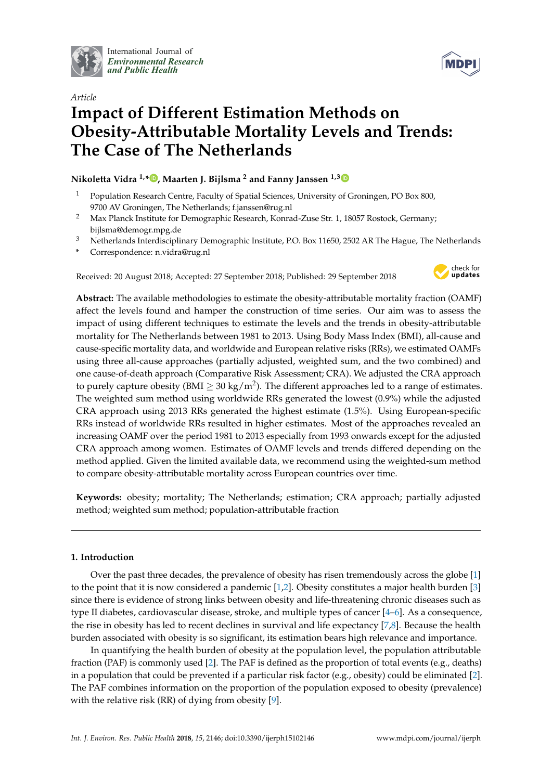

International Journal of *[Environmental Research](http://www.mdpi.com/journal/ijerph) and Public Health*



# *Article* **Impact of Different Estimation Methods on Obesity-Attributable Mortality Levels and Trends: The Case of The Netherlands**

**Nikoletta Vidra 1,[\\*](https://orcid.org/0000-0002-6788-0677) , Maarten J. Bijlsma <sup>2</sup> and Fanny Janssen 1,[3](https://orcid.org/0000-0002-3110-238X)**

- <sup>1</sup> Population Research Centre, Faculty of Spatial Sciences, University of Groningen, PO Box 800, 9700 AV Groningen, The Netherlands; f.janssen@rug.nl
- <sup>2</sup> Max Planck Institute for Demographic Research, Konrad-Zuse Str. 1, 18057 Rostock, Germany; bijlsma@demogr.mpg.de
- <sup>3</sup> Netherlands Interdisciplinary Demographic Institute, P.O. Box 11650, 2502 AR The Hague, The Netherlands
- **\*** Correspondence: n.vidra@rug.nl

Received: 20 August 2018; Accepted: 27 September 2018; Published: 29 September 2018



**Abstract:** The available methodologies to estimate the obesity-attributable mortality fraction (OAMF) affect the levels found and hamper the construction of time series. Our aim was to assess the impact of using different techniques to estimate the levels and the trends in obesity-attributable mortality for The Netherlands between 1981 to 2013. Using Body Mass Index (BMI), all-cause and cause-specific mortality data, and worldwide and European relative risks (RRs), we estimated OAMFs using three all-cause approaches (partially adjusted, weighted sum, and the two combined) and one cause-of-death approach (Comparative Risk Assessment; CRA). We adjusted the CRA approach to purely capture obesity (BMI  $\geq$  30 kg/m<sup>2</sup>). The different approaches led to a range of estimates. The weighted sum method using worldwide RRs generated the lowest (0.9%) while the adjusted CRA approach using 2013 RRs generated the highest estimate (1.5%). Using European-specific RRs instead of worldwide RRs resulted in higher estimates. Most of the approaches revealed an increasing OAMF over the period 1981 to 2013 especially from 1993 onwards except for the adjusted CRA approach among women. Estimates of OAMF levels and trends differed depending on the method applied. Given the limited available data, we recommend using the weighted-sum method to compare obesity-attributable mortality across European countries over time.

**Keywords:** obesity; mortality; The Netherlands; estimation; CRA approach; partially adjusted method; weighted sum method; population-attributable fraction

# **1. Introduction**

Over the past three decades, the prevalence of obesity has risen tremendously across the globe [\[1\]](#page-8-0) to the point that it is now considered a pandemic [\[1,](#page-8-0)[2\]](#page-9-0). Obesity constitutes a major health burden [\[3\]](#page-9-1) since there is evidence of strong links between obesity and life-threatening chronic diseases such as type II diabetes, cardiovascular disease, stroke, and multiple types of cancer [\[4–](#page-9-2)[6\]](#page-9-3). As a consequence, the rise in obesity has led to recent declines in survival and life expectancy [\[7](#page-9-4)[,8\]](#page-9-5). Because the health burden associated with obesity is so significant, its estimation bears high relevance and importance.

In quantifying the health burden of obesity at the population level, the population attributable fraction (PAF) is commonly used [\[2\]](#page-9-0). The PAF is defined as the proportion of total events (e.g., deaths) in a population that could be prevented if a particular risk factor (e.g., obesity) could be eliminated [\[2\]](#page-9-0). The PAF combines information on the proportion of the population exposed to obesity (prevalence) with the relative risk (RR) of dying from obesity [\[9\]](#page-9-6).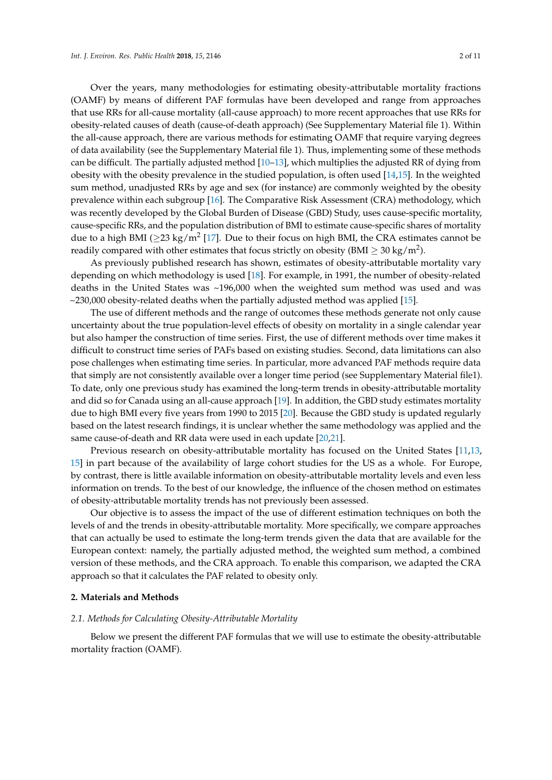Over the years, many methodologies for estimating obesity-attributable mortality fractions (OAMF) by means of different PAF formulas have been developed and range from approaches that use RRs for all-cause mortality (all-cause approach) to more recent approaches that use RRs for obesity-related causes of death (cause-of-death approach) (See Supplementary Material file 1). Within the all-cause approach, there are various methods for estimating OAMF that require varying degrees of data availability (see the Supplementary Material file 1). Thus, implementing some of these methods can be difficult. The partially adjusted method [\[10](#page-9-7)[–13\]](#page-9-8), which multiplies the adjusted RR of dying from obesity with the obesity prevalence in the studied population, is often used [\[14,](#page-9-9)[15\]](#page-9-10). In the weighted sum method, unadjusted RRs by age and sex (for instance) are commonly weighted by the obesity prevalence within each subgroup [\[16\]](#page-9-11). The Comparative Risk Assessment (CRA) methodology, which was recently developed by the Global Burden of Disease (GBD) Study, uses cause-specific mortality, cause-specific RRs, and the population distribution of BMI to estimate cause-specific shares of mortality due to a high BMI ( $\geq$ 23 kg/m<sup>2</sup> [\[17\]](#page-9-12). Due to their focus on high BMI, the CRA estimates cannot be readily compared with other estimates that focus strictly on obesity (BMI  $\geq 30 \text{ kg/m}^2$ ).

As previously published research has shown, estimates of obesity-attributable mortality vary depending on which methodology is used [\[18\]](#page-9-13). For example, in 1991, the number of obesity-related deaths in the United States was ~196,000 when the weighted sum method was used and was  $\sim$ 230,000 obesity-related deaths when the partially adjusted method was applied [\[15\]](#page-9-10).

The use of different methods and the range of outcomes these methods generate not only cause uncertainty about the true population-level effects of obesity on mortality in a single calendar year but also hamper the construction of time series. First, the use of different methods over time makes it difficult to construct time series of PAFs based on existing studies. Second, data limitations can also pose challenges when estimating time series. In particular, more advanced PAF methods require data that simply are not consistently available over a longer time period (see Supplementary Material file1). To date, only one previous study has examined the long-term trends in obesity-attributable mortality and did so for Canada using an all-cause approach [\[19\]](#page-9-14). In addition, the GBD study estimates mortality due to high BMI every five years from 1990 to 2015 [\[20\]](#page-9-15). Because the GBD study is updated regularly based on the latest research findings, it is unclear whether the same methodology was applied and the same cause-of-death and RR data were used in each update [\[20,](#page-9-15)[21\]](#page-9-16).

Previous research on obesity-attributable mortality has focused on the United States [\[11](#page-9-17)[,13,](#page-9-8) [15\]](#page-9-10) in part because of the availability of large cohort studies for the US as a whole. For Europe, by contrast, there is little available information on obesity-attributable mortality levels and even less information on trends. To the best of our knowledge, the influence of the chosen method on estimates of obesity-attributable mortality trends has not previously been assessed.

Our objective is to assess the impact of the use of different estimation techniques on both the levels of and the trends in obesity-attributable mortality. More specifically, we compare approaches that can actually be used to estimate the long-term trends given the data that are available for the European context: namely, the partially adjusted method, the weighted sum method, a combined version of these methods, and the CRA approach. To enable this comparison, we adapted the CRA approach so that it calculates the PAF related to obesity only.

### **2. Materials and Methods**

### *2.1. Methods for Calculating Obesity-Attributable Mortality*

Below we present the different PAF formulas that we will use to estimate the obesity-attributable mortality fraction (OAMF).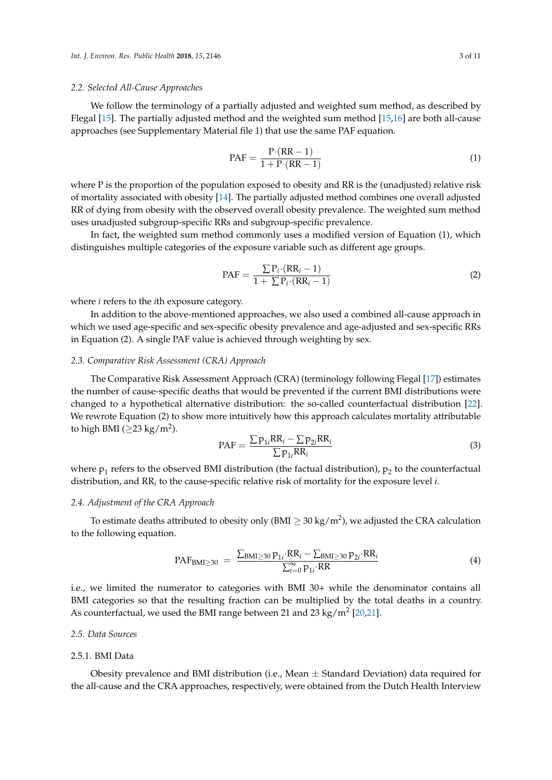## *2.2. Selected All-Cause Approaches*

We follow the terminology of a partially adjusted and weighted sum method, as described by Flegal [\[15\]](#page-9-10). The partially adjusted method and the weighted sum method [\[15,](#page-9-10)[16\]](#page-9-11) are both all-cause approaches (see Supplementary Material file 1) that use the same PAF equation.

$$
PAF = \frac{P \cdot (RR - 1)}{1 + P \cdot (RR - 1)}
$$
 (1)

where P is the proportion of the population exposed to obesity and RR is the (unadjusted) relative risk of mortality associated with obesity [\[14\]](#page-9-9). The partially adjusted method combines one overall adjusted RR of dying from obesity with the observed overall obesity prevalence. The weighted sum method uses unadjusted subgroup-specific RRs and subgroup-specific prevalence.

In fact, the weighted sum method commonly uses a modified version of Equation (1), which distinguishes multiple categories of the exposure variable such as different age groups.

$$
PAF = \frac{\sum P_i \cdot (RR_i - 1)}{1 + \sum P_i \cdot (RR_i - 1)}
$$
\n(2)

where *i* refers to the *i*th exposure category.

In addition to the above-mentioned approaches, we also used a combined all-cause approach in which we used age-specific and sex-specific obesity prevalence and age-adjusted and sex-specific RRs in Equation (2). A single PAF value is achieved through weighting by sex.

# *2.3. Comparative Risk Assessment (CRA) Approach*

The Comparative Risk Assessment Approach (CRA) (terminology following Flegal [\[17\]](#page-9-12)) estimates the number of cause-specific deaths that would be prevented if the current BMI distributions were changed to a hypothetical alternative distribution: the so-called counterfactual distribution [\[22\]](#page-9-18). We rewrote Equation (2) to show more intuitively how this approach calculates mortality attributable to high BMI ( $\geq$ 23 kg/m<sup>2</sup>).

$$
PAF = \frac{\sum p_{1i}RR_i - \sum p_{2i}RR_i}{\sum p_{1i}RR_i}
$$
\n(3)

where  $\bm{{\mathsf{p}}}_1$  refers to the observed BMI distribution (the factual distribution),  $\bm{{\mathsf{p}}}_2$  to the counterfactual distribution, and RR*<sup>i</sup>* to the cause-specific relative risk of mortality for the exposure level *i*.

## *2.4. Adjustment of the CRA Approach*

To estimate deaths attributed to obesity only (BMI  $\geq$  30 kg/m<sup>2</sup>), we adjusted the CRA calculation to the following equation.

$$
PAF_{BMI\geq 30} = \frac{\sum_{BMI\geq 30} p_{1i} \cdot RR_i - \sum_{BMI\geq 30} p_{2i} \cdot RR_i}{\sum_{i=0}^{\infty} p_{1i} \cdot RR}
$$
(4)

i.e., we limited the numerator to categories with BMI 30+ while the denominator contains all BMI categories so that the resulting fraction can be multiplied by the total deaths in a country. As counterfactual, we used the BMI range between 21 and 23  $\text{kg/m}^2$  [\[20](#page-9-15)[,21\]](#page-9-16).

# *2.5. Data Sources*

# 2.5.1. BMI Data

Obesity prevalence and BMI distribution (i.e., Mean  $\pm$  Standard Deviation) data required for the all-cause and the CRA approaches, respectively, were obtained from the Dutch Health Interview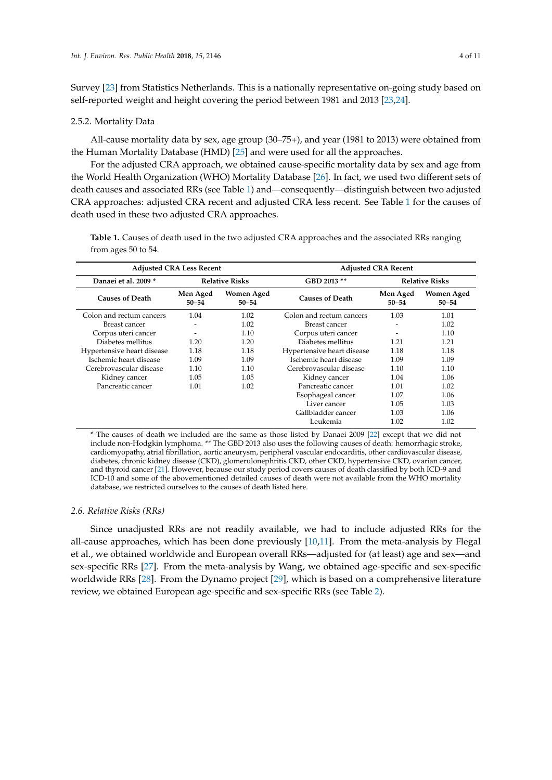Survey [\[23\]](#page-10-0) from Statistics Netherlands. This is a nationally representative on-going study based on self-reported weight and height covering the period between 1981 and 2013 [\[23](#page-10-0)[,24\]](#page-10-1).

## 2.5.2. Mortality Data

All-cause mortality data by sex, age group (30–75+), and year (1981 to 2013) were obtained from the Human Mortality Database (HMD) [\[25\]](#page-10-2) and were used for all the approaches.

For the adjusted CRA approach, we obtained cause-specific mortality data by sex and age from the World Health Organization (WHO) Mortality Database [\[26\]](#page-10-3). In fact, we used two different sets of death causes and associated RRs (see Table [1\)](#page-3-0) and—consequently—distinguish between two adjusted CRA approaches: adjusted CRA recent and adjusted CRA less recent. See Table [1](#page-3-0) for the causes of death used in these two adjusted CRA approaches.

<span id="page-3-0"></span>**Table 1.** Causes of death used in the two adjusted CRA approaches and the associated RRs ranging from ages 50 to 54.

| <b>Adjusted CRA Less Recent</b> |                          |                                | <b>Adjusted CRA Recent</b> |                       |                         |  |
|---------------------------------|--------------------------|--------------------------------|----------------------------|-----------------------|-------------------------|--|
| Danaei et al. 2009 *            | <b>Relative Risks</b>    |                                | GBD 2013 **                | <b>Relative Risks</b> |                         |  |
| <b>Causes of Death</b>          | Men Aged<br>$50 - 54$    | <b>Women Aged</b><br>$50 - 54$ | <b>Causes of Death</b>     | Men Aged<br>$50 - 54$ | Women Aged<br>$50 - 54$ |  |
| Colon and rectum cancers        | 1.04                     | 1.02                           | Colon and rectum cancers   | 1.03                  | 1.01                    |  |
| Breast cancer                   | $\overline{\phantom{0}}$ | 1.02                           | Breast cancer              |                       | 1.02                    |  |
| Corpus uteri cancer             | -                        | 1.10                           | Corpus uteri cancer        |                       | 1.10                    |  |
| Diabetes mellitus               | 1.20                     | 1.20                           | Diabetes mellitus          | 1.21                  | 1.21                    |  |
| Hypertensive heart disease      | 1.18                     | 1.18                           | Hypertensive heart disease | 1.18                  | 1.18                    |  |
| Ischemic heart disease          | 1.09                     | 1.09                           | Ischemic heart disease     | 1.09                  | 1.09                    |  |
| Cerebrovascular disease         | 1.10                     | 1.10                           | Cerebrovascular disease    | 1.10                  | 1.10                    |  |
| Kidney cancer                   | 1.05                     | 1.05                           | Kidney cancer              | 1.04                  | 1.06                    |  |
| Pancreatic cancer               | 1.01                     | 1.02                           | Pancreatic cancer          | 1.01                  | 1.02                    |  |
|                                 |                          |                                | Esophageal cancer          | 1.07                  | 1.06                    |  |
|                                 |                          |                                | Liver cancer               | 1.05                  | 1.03                    |  |
|                                 |                          |                                | Gallbladder cancer         | 1.03                  | 1.06                    |  |
|                                 |                          |                                | Leukemia                   | 1.02                  | 1.02                    |  |

\* The causes of death we included are the same as those listed by Danaei 2009 [\[22\]](#page-9-18) except that we did not include non-Hodgkin lymphoma. \*\* The GBD 2013 also uses the following causes of death: hemorrhagic stroke, cardiomyopathy, atrial fibrillation, aortic aneurysm, peripheral vascular endocarditis, other cardiovascular disease, diabetes, chronic kidney disease (CKD), glomerulonephritis CKD, other CKD, hypertensive CKD, ovarian cancer, and thyroid cancer [\[21\]](#page-9-16). However, because our study period covers causes of death classified by both ICD-9 and ICD-10 and some of the abovementioned detailed causes of death were not available from the WHO mortality database, we restricted ourselves to the causes of death listed here.

# *2.6. Relative Risks (RRs)*

Since unadjusted RRs are not readily available, we had to include adjusted RRs for the all-cause approaches, which has been done previously  $[10,11]$  $[10,11]$ . From the meta-analysis by Flegal et al., we obtained worldwide and European overall RRs—adjusted for (at least) age and sex—and sex-specific RRs [\[27\]](#page-10-4). From the meta-analysis by Wang, we obtained age-specific and sex-specific worldwide RRs [\[28\]](#page-10-5). From the Dynamo project [\[29\]](#page-10-6), which is based on a comprehensive literature review, we obtained European age-specific and sex-specific RRs (see Table [2\)](#page-4-0).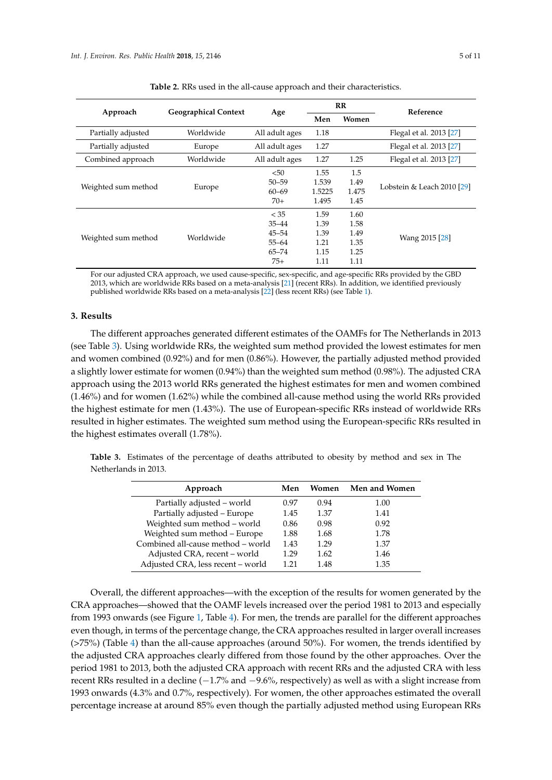<span id="page-4-0"></span>

|                     |                             |                                                                   | $_{\rm RR}$                                  |                                              | Reference                  |  |
|---------------------|-----------------------------|-------------------------------------------------------------------|----------------------------------------------|----------------------------------------------|----------------------------|--|
| Approach            | <b>Geographical Context</b> | Age                                                               | Men                                          | Women                                        |                            |  |
| Partially adjusted  | Worldwide                   | All adult ages                                                    | 1.18                                         |                                              | Flegal et al. 2013 [27]    |  |
| Partially adjusted  | Europe                      | All adult ages                                                    | 1.27                                         |                                              | Flegal et al. 2013 [27]    |  |
| Combined approach   | Worldwide                   | All adult ages                                                    | 1.27                                         | 1.25                                         | Flegal et al. 2013 [27]    |  |
| Weighted sum method | Europe                      | < 50<br>$50 - 59$<br>$60 - 69$<br>$70+$                           | 1.55<br>1.539<br>1.5225<br>1.495             | 1.5<br>1.49<br>1.475<br>1.45                 | Lobstein & Leach 2010 [29] |  |
| Weighted sum method | Worldwide                   | < 35<br>$35 - 44$<br>$45 - 54$<br>$55 - 64$<br>$65 - 74$<br>$75+$ | 1.59<br>1.39<br>1.39<br>1.21<br>1.15<br>1.11 | 1.60<br>1.58<br>1.49<br>1.35<br>1.25<br>1.11 | Wang 2015 [28]             |  |

For our adjusted CRA approach, we used cause-specific, sex-specific, and age-specific RRs provided by the GBD 2013, which are worldwide RRs based on a meta-analysis [\[21\]](#page-9-16) (recent RRs). In addition, we identified previously published worldwide RRs based on a meta-analysis [\[22\]](#page-9-18) (less recent RRs) (see Table [1\)](#page-3-0).

## **3. Results**

The different approaches generated different estimates of the OAMFs for The Netherlands in 2013 (see Table [3\)](#page-4-1). Using worldwide RRs, the weighted sum method provided the lowest estimates for men and women combined (0.92%) and for men (0.86%). However, the partially adjusted method provided a slightly lower estimate for women (0.94%) than the weighted sum method (0.98%). The adjusted CRA approach using the 2013 world RRs generated the highest estimates for men and women combined (1.46%) and for women (1.62%) while the combined all-cause method using the world RRs provided the highest estimate for men (1.43%). The use of European-specific RRs instead of worldwide RRs resulted in higher estimates. The weighted sum method using the European-specific RRs resulted in the highest estimates overall (1.78%).

<span id="page-4-1"></span>**Table 3.** Estimates of the percentage of deaths attributed to obesity by method and sex in The Netherlands in 2013.

| Approach                          | Men  | Women | Men and Women |
|-----------------------------------|------|-------|---------------|
| Partially adjusted - world        | 0.97 | 0.94  | 1.00          |
| Partially adjusted - Europe       | 1.45 | 1.37  | 1.41          |
| Weighted sum method - world       | 0.86 | 0.98  | 0.92          |
| Weighted sum method - Europe      | 1.88 | 1.68  | 1.78          |
| Combined all-cause method - world | 1.43 | 1.29  | 1.37          |
| Adjusted CRA, recent – world      | 1.29 | 1.62  | 1.46          |
| Adjusted CRA, less recent - world | 1 21 | 1.48  | 1.35          |

Overall, the different approaches—with the exception of the results for women generated by the CRA approaches—showed that the OAMF levels increased over the period 1981 to 2013 and especially from 1993 onwards (see Figure [1,](#page-5-0) Table [4\)](#page-5-1). For men, the trends are parallel for the different approaches even though, in terms of the percentage change, the CRA approaches resulted in larger overall increases (>75%) (Table [4\)](#page-5-1) than the all-cause approaches (around 50%). For women, the trends identified by the adjusted CRA approaches clearly differed from those found by the other approaches. Over the period 1981 to 2013, both the adjusted CRA approach with recent RRs and the adjusted CRA with less recent RRs resulted in a decline (−1.7% and −9.6%, respectively) as well as with a slight increase from 1993 onwards (4.3% and 0.7%, respectively). For women, the other approaches estimated the overall percentage increase at around 85% even though the partially adjusted method using European RRs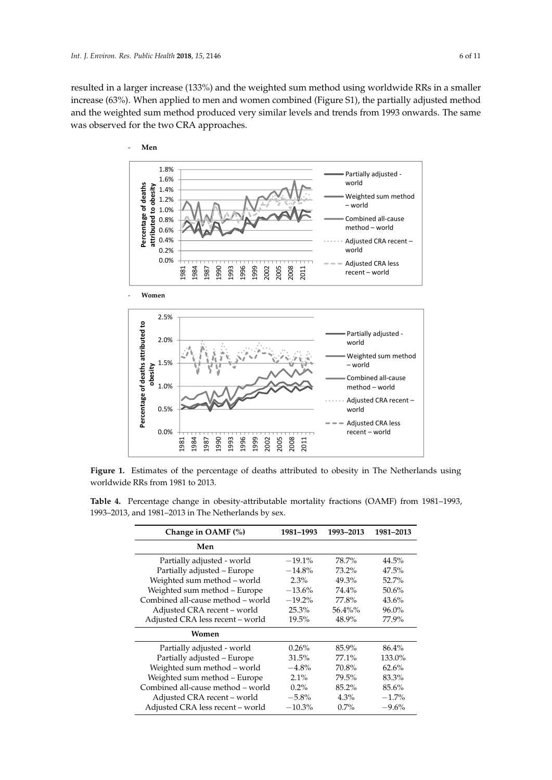resulted in a larger increase (133%) and the weighted sum method using worldwide RRs in a smaller increase (63%). When applied to men and women combined (Figure S1), the partially adjusted method and the weighted sum method produced very similar levels and trends from 1993 onwards. The same was observed for the two CRA approaches.

<span id="page-5-0"></span>

**Figure 1.** Estimates of the percentage of deaths attributed to obesity in The Netherlands using **Figure 1.** Estimates of the percentage of deaths attributed to obesity in The Netherlands using worldwide RRs from 1981 to 2013. worldwide RRs from 1981 to 2013.

<span id="page-5-1"></span>**Table 4.** Percentage change in obesity-attributable mortality fractions (OAMF) from 1981–1993, 1993– **Table 4.** Percentage change in obesity-attributable mortality fractions (OAMF) from 1981–1993, 2013, and 1981–2013 in The Netherlands by sex. 1993–2013, and 1981–2013 in The Netherlands by sex.

| Change in OAMF (%)                | 1981-1993 | 1993-2013  | 1981-2013 |
|-----------------------------------|-----------|------------|-----------|
| Men                               |           |            |           |
| Partially adjusted - world        | $-19.1\%$ | 78.7%      | 44.5%     |
| Partially adjusted - Europe       | $-14.8\%$ | 73.2%      | 47.5%     |
| Weighted sum method - world       | $2.3\%$   | 49.3%      | 52.7%     |
| Weighted sum method - Europe      | $-13.6\%$ | 74.4%      | 50.6%     |
| Combined all-cause method – world | $-19.2%$  | 77.8%      | 43.6%     |
| Adjusted CRA recent - world       | 25.3%     | $56.4\%$ % | 96.0%     |
| Adjusted CRA less recent - world  | 19.5%     | 48.9%      | 77.9%     |
| Women                             |           |            |           |
| Partially adjusted - world        | 0.26%     | 85.9%      | 86.4%     |
| Partially adjusted - Europe       | 31.5%     | 77.1%      | 133.0%    |
| Weighted sum method - world       | $-4.8%$   | 70.8%      | 62.6%     |
| Weighted sum method - Europe      | 2.1%      | 79.5%      | 83.3%     |
| Combined all-cause method – world | $0.2\%$   | 85.2%      | 85.6%     |
| Adjusted CRA recent - world       | $-5.8\%$  | $4.3\%$    | $-1.7%$   |
| Adjusted CRA less recent - world  | $-10.3\%$ | $0.7\%$    | $-9.6%$   |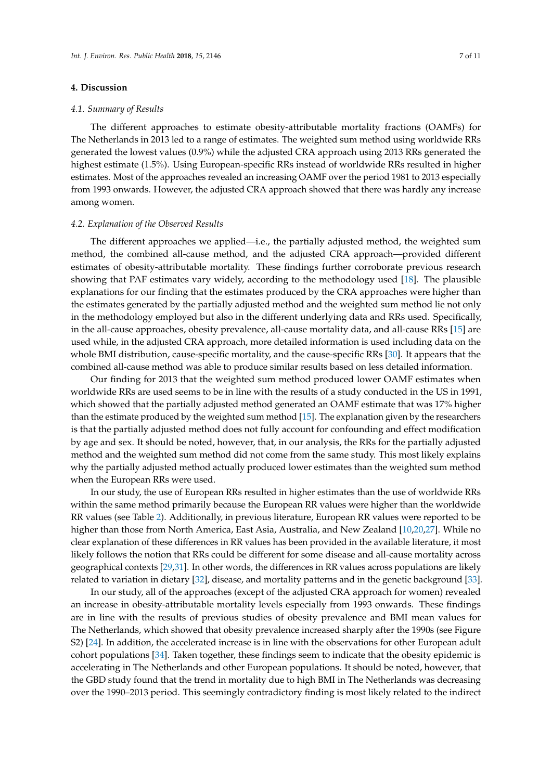## **4. Discussion**

## *4.1. Summary of Results*

The different approaches to estimate obesity-attributable mortality fractions (OAMFs) for The Netherlands in 2013 led to a range of estimates. The weighted sum method using worldwide RRs generated the lowest values (0.9%) while the adjusted CRA approach using 2013 RRs generated the highest estimate (1.5%). Using European-specific RRs instead of worldwide RRs resulted in higher estimates. Most of the approaches revealed an increasing OAMF over the period 1981 to 2013 especially from 1993 onwards. However, the adjusted CRA approach showed that there was hardly any increase among women.

## *4.2. Explanation of the Observed Results*

The different approaches we applied—i.e., the partially adjusted method, the weighted sum method, the combined all-cause method, and the adjusted CRA approach—provided different estimates of obesity-attributable mortality. These findings further corroborate previous research showing that PAF estimates vary widely, according to the methodology used [\[18\]](#page-9-13). The plausible explanations for our finding that the estimates produced by the CRA approaches were higher than the estimates generated by the partially adjusted method and the weighted sum method lie not only in the methodology employed but also in the different underlying data and RRs used. Specifically, in the all-cause approaches, obesity prevalence, all-cause mortality data, and all-cause RRs [\[15\]](#page-9-10) are used while, in the adjusted CRA approach, more detailed information is used including data on the whole BMI distribution, cause-specific mortality, and the cause-specific RRs [\[30\]](#page-10-7). It appears that the combined all-cause method was able to produce similar results based on less detailed information.

Our finding for 2013 that the weighted sum method produced lower OAMF estimates when worldwide RRs are used seems to be in line with the results of a study conducted in the US in 1991, which showed that the partially adjusted method generated an OAMF estimate that was 17% higher than the estimate produced by the weighted sum method [\[15\]](#page-9-10). The explanation given by the researchers is that the partially adjusted method does not fully account for confounding and effect modification by age and sex. It should be noted, however, that, in our analysis, the RRs for the partially adjusted method and the weighted sum method did not come from the same study. This most likely explains why the partially adjusted method actually produced lower estimates than the weighted sum method when the European RRs were used.

In our study, the use of European RRs resulted in higher estimates than the use of worldwide RRs within the same method primarily because the European RR values were higher than the worldwide RR values (see Table [2\)](#page-4-0). Additionally, in previous literature, European RR values were reported to be higher than those from North America, East Asia, Australia, and New Zealand [\[10,](#page-9-7)[20,](#page-9-15)[27\]](#page-10-4). While no clear explanation of these differences in RR values has been provided in the available literature, it most likely follows the notion that RRs could be different for some disease and all-cause mortality across geographical contexts [\[29](#page-10-6)[,31\]](#page-10-8). In other words, the differences in RR values across populations are likely related to variation in dietary [\[32\]](#page-10-9), disease, and mortality patterns and in the genetic background [\[33\]](#page-10-10).

In our study, all of the approaches (except of the adjusted CRA approach for women) revealed an increase in obesity-attributable mortality levels especially from 1993 onwards. These findings are in line with the results of previous studies of obesity prevalence and BMI mean values for The Netherlands, which showed that obesity prevalence increased sharply after the 1990s (see Figure S2) [\[24\]](#page-10-1). In addition, the accelerated increase is in line with the observations for other European adult cohort populations [\[34\]](#page-10-11). Taken together, these findings seem to indicate that the obesity epidemic is accelerating in The Netherlands and other European populations. It should be noted, however, that the GBD study found that the trend in mortality due to high BMI in The Netherlands was decreasing over the 1990–2013 period. This seemingly contradictory finding is most likely related to the indirect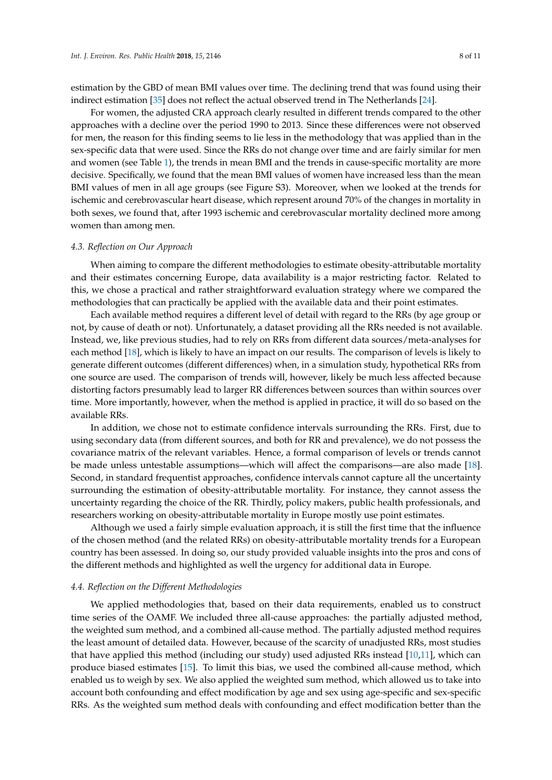estimation by the GBD of mean BMI values over time. The declining trend that was found using their indirect estimation [\[35\]](#page-10-12) does not reflect the actual observed trend in The Netherlands [\[24\]](#page-10-1).

For women, the adjusted CRA approach clearly resulted in different trends compared to the other approaches with a decline over the period 1990 to 2013. Since these differences were not observed for men, the reason for this finding seems to lie less in the methodology that was applied than in the sex-specific data that were used. Since the RRs do not change over time and are fairly similar for men and women (see Table [1\)](#page-3-0), the trends in mean BMI and the trends in cause-specific mortality are more decisive. Specifically, we found that the mean BMI values of women have increased less than the mean BMI values of men in all age groups (see Figure S3). Moreover, when we looked at the trends for ischemic and cerebrovascular heart disease, which represent around 70% of the changes in mortality in both sexes, we found that, after 1993 ischemic and cerebrovascular mortality declined more among women than among men.

## *4.3. Reflection on Our Approach*

When aiming to compare the different methodologies to estimate obesity-attributable mortality and their estimates concerning Europe, data availability is a major restricting factor. Related to this, we chose a practical and rather straightforward evaluation strategy where we compared the methodologies that can practically be applied with the available data and their point estimates.

Each available method requires a different level of detail with regard to the RRs (by age group or not, by cause of death or not). Unfortunately, a dataset providing all the RRs needed is not available. Instead, we, like previous studies, had to rely on RRs from different data sources/meta-analyses for each method [\[18\]](#page-9-13), which is likely to have an impact on our results. The comparison of levels is likely to generate different outcomes (different differences) when, in a simulation study, hypothetical RRs from one source are used. The comparison of trends will, however, likely be much less affected because distorting factors presumably lead to larger RR differences between sources than within sources over time. More importantly, however, when the method is applied in practice, it will do so based on the available RRs.

In addition, we chose not to estimate confidence intervals surrounding the RRs. First, due to using secondary data (from different sources, and both for RR and prevalence), we do not possess the covariance matrix of the relevant variables. Hence, a formal comparison of levels or trends cannot be made unless untestable assumptions—which will affect the comparisons—are also made [\[18\]](#page-9-13). Second, in standard frequentist approaches, confidence intervals cannot capture all the uncertainty surrounding the estimation of obesity-attributable mortality. For instance, they cannot assess the uncertainty regarding the choice of the RR. Thirdly, policy makers, public health professionals, and researchers working on obesity-attributable mortality in Europe mostly use point estimates.

Although we used a fairly simple evaluation approach, it is still the first time that the influence of the chosen method (and the related RRs) on obesity-attributable mortality trends for a European country has been assessed. In doing so, our study provided valuable insights into the pros and cons of the different methods and highlighted as well the urgency for additional data in Europe.

# *4.4. Reflection on the Different Methodologies*

We applied methodologies that, based on their data requirements, enabled us to construct time series of the OAMF. We included three all-cause approaches: the partially adjusted method, the weighted sum method, and a combined all-cause method. The partially adjusted method requires the least amount of detailed data. However, because of the scarcity of unadjusted RRs, most studies that have applied this method (including our study) used adjusted RRs instead [\[10,](#page-9-7)[11\]](#page-9-17), which can produce biased estimates [\[15\]](#page-9-10). To limit this bias, we used the combined all-cause method, which enabled us to weigh by sex. We also applied the weighted sum method, which allowed us to take into account both confounding and effect modification by age and sex using age-specific and sex-specific RRs. As the weighted sum method deals with confounding and effect modification better than the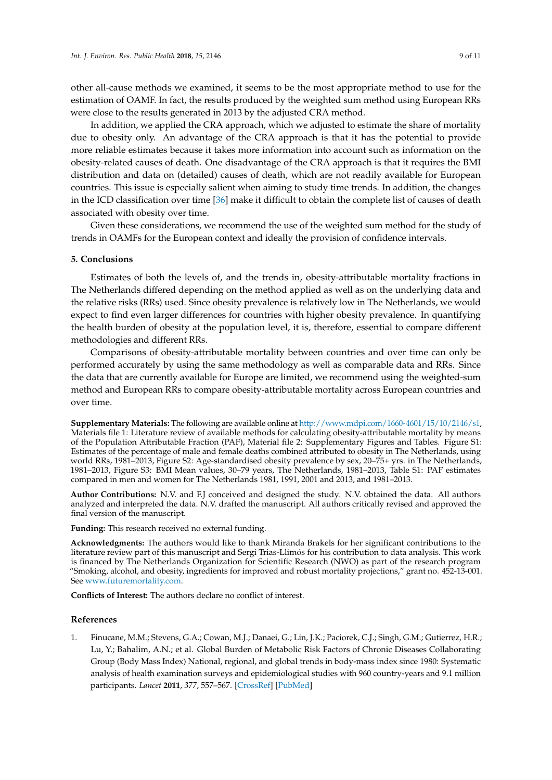other all-cause methods we examined, it seems to be the most appropriate method to use for the estimation of OAMF. In fact, the results produced by the weighted sum method using European RRs were close to the results generated in 2013 by the adjusted CRA method.

In addition, we applied the CRA approach, which we adjusted to estimate the share of mortality due to obesity only. An advantage of the CRA approach is that it has the potential to provide more reliable estimates because it takes more information into account such as information on the obesity-related causes of death. One disadvantage of the CRA approach is that it requires the BMI distribution and data on (detailed) causes of death, which are not readily available for European countries. This issue is especially salient when aiming to study time trends. In addition, the changes in the ICD classification over time [\[36\]](#page-10-13) make it difficult to obtain the complete list of causes of death associated with obesity over time.

Given these considerations, we recommend the use of the weighted sum method for the study of trends in OAMFs for the European context and ideally the provision of confidence intervals.

# **5. Conclusions**

Estimates of both the levels of, and the trends in, obesity-attributable mortality fractions in The Netherlands differed depending on the method applied as well as on the underlying data and the relative risks (RRs) used. Since obesity prevalence is relatively low in The Netherlands, we would expect to find even larger differences for countries with higher obesity prevalence. In quantifying the health burden of obesity at the population level, it is, therefore, essential to compare different methodologies and different RRs.

Comparisons of obesity-attributable mortality between countries and over time can only be performed accurately by using the same methodology as well as comparable data and RRs. Since the data that are currently available for Europe are limited, we recommend using the weighted-sum method and European RRs to compare obesity-attributable mortality across European countries and over time.

**Supplementary Materials:** The following are available online at [http://www.mdpi.com/1660-4601/15/10/2146/s1,](http://www.mdpi.com/1660-4601/15/10/2146/s1) Materials file 1: Literature review of available methods for calculating obesity-attributable mortality by means of the Population Attributable Fraction (PAF), Material file 2: Supplementary Figures and Tables. Figure S1: Estimates of the percentage of male and female deaths combined attributed to obesity in The Netherlands, using world RRs, 1981–2013, Figure S2: Age-standardised obesity prevalence by sex, 20–75+ yrs. in The Netherlands, 1981–2013, Figure S3: BMI Mean values, 30–79 years, The Netherlands, 1981–2013, Table S1: PAF estimates compared in men and women for The Netherlands 1981, 1991, 2001 and 2013, and 1981–2013.

**Author Contributions:** N.V. and F.J conceived and designed the study. N.V. obtained the data. All authors analyzed and interpreted the data. N.V. drafted the manuscript. All authors critically revised and approved the final version of the manuscript.

**Funding:** This research received no external funding.

**Acknowledgments:** The authors would like to thank Miranda Brakels for her significant contributions to the literature review part of this manuscript and Sergi Trias-Llimós for his contribution to data analysis. This work is financed by The Netherlands Organization for Scientific Research (NWO) as part of the research program "Smoking, alcohol, and obesity, ingredients for improved and robust mortality projections," grant no. 452-13-001. See [www.futuremortality.com.](www.futuremortality.com)

**Conflicts of Interest:** The authors declare no conflict of interest.

### **References**

<span id="page-8-0"></span>1. Finucane, M.M.; Stevens, G.A.; Cowan, M.J.; Danaei, G.; Lin, J.K.; Paciorek, C.J.; Singh, G.M.; Gutierrez, H.R.; Lu, Y.; Bahalim, A.N.; et al. Global Burden of Metabolic Risk Factors of Chronic Diseases Collaborating Group (Body Mass Index) National, regional, and global trends in body-mass index since 1980: Systematic analysis of health examination surveys and epidemiological studies with 960 country-years and 9.1 million participants. *Lancet* **2011**, *377*, 557–567. [\[CrossRef\]](http://dx.doi.org/10.1016/S0140-6736(10)62037-5) [\[PubMed\]](http://www.ncbi.nlm.nih.gov/pubmed/21295846)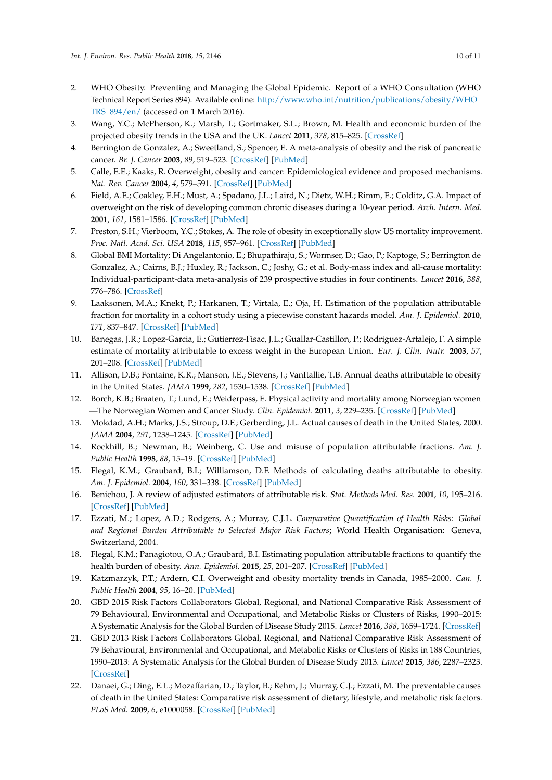- <span id="page-9-0"></span>2. WHO Obesity. Preventing and Managing the Global Epidemic. Report of a WHO Consultation (WHO Technical Report Series 894). Available online: [http://www.who.int/nutrition/publications/obesity/WHO\\_](http://www.who.int/nutrition/publications/obesity/WHO_TRS_894/en/) TRS  $894/en/$  (accessed on 1 March 2016).
- <span id="page-9-1"></span>3. Wang, Y.C.; McPherson, K.; Marsh, T.; Gortmaker, S.L.; Brown, M. Health and economic burden of the projected obesity trends in the USA and the UK. *Lancet* **2011**, *378*, 815–825. [\[CrossRef\]](http://dx.doi.org/10.1016/S0140-6736(11)60814-3)
- <span id="page-9-2"></span>4. Berrington de Gonzalez, A.; Sweetland, S.; Spencer, E. A meta-analysis of obesity and the risk of pancreatic cancer. *Br. J. Cancer* **2003**, *89*, 519–523. [\[CrossRef\]](http://dx.doi.org/10.1038/sj.bjc.6601140) [\[PubMed\]](http://www.ncbi.nlm.nih.gov/pubmed/12888824)
- 5. Calle, E.E.; Kaaks, R. Overweight, obesity and cancer: Epidemiological evidence and proposed mechanisms. *Nat. Rev. Cancer* **2004**, *4*, 579–591. [\[CrossRef\]](http://dx.doi.org/10.1038/nrc1408) [\[PubMed\]](http://www.ncbi.nlm.nih.gov/pubmed/15286738)
- <span id="page-9-3"></span>6. Field, A.E.; Coakley, E.H.; Must, A.; Spadano, J.L.; Laird, N.; Dietz, W.H.; Rimm, E.; Colditz, G.A. Impact of overweight on the risk of developing common chronic diseases during a 10-year period. *Arch. Intern. Med.* **2001**, *161*, 1581–1586. [\[CrossRef\]](http://dx.doi.org/10.1001/archinte.161.13.1581) [\[PubMed\]](http://www.ncbi.nlm.nih.gov/pubmed/11434789)
- <span id="page-9-4"></span>7. Preston, S.H.; Vierboom, Y.C.; Stokes, A. The role of obesity in exceptionally slow US mortality improvement. *Proc. Natl. Acad. Sci. USA* **2018**, *115*, 957–961. [\[CrossRef\]](http://dx.doi.org/10.1073/pnas.1716802115) [\[PubMed\]](http://www.ncbi.nlm.nih.gov/pubmed/29339511)
- <span id="page-9-5"></span>8. Global BMI Mortality; Di Angelantonio, E.; Bhupathiraju, S.; Wormser, D.; Gao, P.; Kaptoge, S.; Berrington de Gonzalez, A.; Cairns, B.J.; Huxley, R.; Jackson, C.; Joshy, G.; et al. Body-mass index and all-cause mortality: Individual-participant-data meta-analysis of 239 prospective studies in four continents. *Lancet* **2016**, *388*, 776–786. [\[CrossRef\]](http://dx.doi.org/10.1016/S0140-6736(16)30175-1)
- <span id="page-9-6"></span>9. Laaksonen, M.A.; Knekt, P.; Harkanen, T.; Virtala, E.; Oja, H. Estimation of the population attributable fraction for mortality in a cohort study using a piecewise constant hazards model. *Am. J. Epidemiol.* **2010**, *171*, 837–847. [\[CrossRef\]](http://dx.doi.org/10.1093/aje/kwp457) [\[PubMed\]](http://www.ncbi.nlm.nih.gov/pubmed/20197386)
- <span id="page-9-7"></span>10. Banegas, J.R.; Lopez-Garcia, E.; Gutierrez-Fisac, J.L.; Guallar-Castillon, P.; Rodriguez-Artalejo, F. A simple estimate of mortality attributable to excess weight in the European Union. *Eur. J. Clin. Nutr.* **2003**, *57*, 201–208. [\[CrossRef\]](http://dx.doi.org/10.1038/sj.ejcn.1601538) [\[PubMed\]](http://www.ncbi.nlm.nih.gov/pubmed/12571650)
- <span id="page-9-17"></span>11. Allison, D.B.; Fontaine, K.R.; Manson, J.E.; Stevens, J.; VanItallie, T.B. Annual deaths attributable to obesity in the United States. *JAMA* **1999**, *282*, 1530–1538. [\[CrossRef\]](http://dx.doi.org/10.1001/jama.282.16.1530) [\[PubMed\]](http://www.ncbi.nlm.nih.gov/pubmed/10546692)
- 12. Borch, K.B.; Braaten, T.; Lund, E.; Weiderpass, E. Physical activity and mortality among Norwegian women —The Norwegian Women and Cancer Study. *Clin. Epidemiol.* **2011**, *3*, 229–235. [\[CrossRef\]](http://dx.doi.org/10.2147/CLEP.S22681) [\[PubMed\]](http://www.ncbi.nlm.nih.gov/pubmed/21857790)
- <span id="page-9-8"></span>13. Mokdad, A.H.; Marks, J.S.; Stroup, D.F.; Gerberding, J.L. Actual causes of death in the United States, 2000. *JAMA* **2004**, *291*, 1238–1245. [\[CrossRef\]](http://dx.doi.org/10.1001/jama.291.10.1238) [\[PubMed\]](http://www.ncbi.nlm.nih.gov/pubmed/15010446)
- <span id="page-9-9"></span>14. Rockhill, B.; Newman, B.; Weinberg, C. Use and misuse of population attributable fractions. *Am. J. Public Health* **1998**, *88*, 15–19. [\[CrossRef\]](http://dx.doi.org/10.2105/AJPH.88.1.15) [\[PubMed\]](http://www.ncbi.nlm.nih.gov/pubmed/9584027)
- <span id="page-9-10"></span>15. Flegal, K.M.; Graubard, B.I.; Williamson, D.F. Methods of calculating deaths attributable to obesity. *Am. J. Epidemiol.* **2004**, *160*, 331–338. [\[CrossRef\]](http://dx.doi.org/10.1093/aje/kwh222) [\[PubMed\]](http://www.ncbi.nlm.nih.gov/pubmed/15286018)
- <span id="page-9-11"></span>16. Benichou, J. A review of adjusted estimators of attributable risk. *Stat. Methods Med. Res.* **2001**, *10*, 195–216. [\[CrossRef\]](http://dx.doi.org/10.1177/096228020101000303) [\[PubMed\]](http://www.ncbi.nlm.nih.gov/pubmed/11446148)
- <span id="page-9-12"></span>17. Ezzati, M.; Lopez, A.D.; Rodgers, A.; Murray, C.J.L. *Comparative Quantification of Health Risks: Global and Regional Burden Attributable to Selected Major Risk Factors*; World Health Organisation: Geneva, Switzerland, 2004.
- <span id="page-9-13"></span>18. Flegal, K.M.; Panagiotou, O.A.; Graubard, B.I. Estimating population attributable fractions to quantify the health burden of obesity. *Ann. Epidemiol.* **2015**, *25*, 201–207. [\[CrossRef\]](http://dx.doi.org/10.1016/j.annepidem.2014.11.010) [\[PubMed\]](http://www.ncbi.nlm.nih.gov/pubmed/25511307)
- <span id="page-9-14"></span>19. Katzmarzyk, P.T.; Ardern, C.I. Overweight and obesity mortality trends in Canada, 1985–2000. *Can. J. Public Health* **2004**, *95*, 16–20. [\[PubMed\]](http://www.ncbi.nlm.nih.gov/pubmed/14768735)
- <span id="page-9-15"></span>20. GBD 2015 Risk Factors Collaborators Global, Regional, and National Comparative Risk Assessment of 79 Behavioural, Environmental and Occupational, and Metabolic Risks or Clusters of Risks, 1990–2015: A Systematic Analysis for the Global Burden of Disease Study 2015. *Lancet* **2016**, *388*, 1659–1724. [\[CrossRef\]](http://dx.doi.org/10.1016/S0140-6736(16)31679-8)
- <span id="page-9-16"></span>21. GBD 2013 Risk Factors Collaborators Global, Regional, and National Comparative Risk Assessment of 79 Behavioural, Environmental and Occupational, and Metabolic Risks or Clusters of Risks in 188 Countries, 1990–2013: A Systematic Analysis for the Global Burden of Disease Study 2013. *Lancet* **2015**, *386*, 2287–2323. [\[CrossRef\]](http://dx.doi.org/10.1016/S0140-6736(15)00128-2)
- <span id="page-9-18"></span>22. Danaei, G.; Ding, E.L.; Mozaffarian, D.; Taylor, B.; Rehm, J.; Murray, C.J.; Ezzati, M. The preventable causes of death in the United States: Comparative risk assessment of dietary, lifestyle, and metabolic risk factors. *PLoS Med.* **2009**, *6*, e1000058. [\[CrossRef\]](http://dx.doi.org/10.1371/journal.pmed.1000058) [\[PubMed\]](http://www.ncbi.nlm.nih.gov/pubmed/19399161)